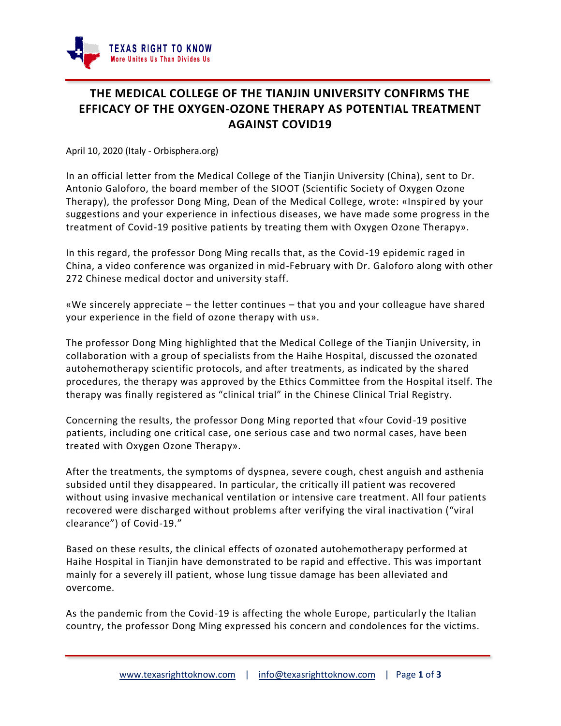

## **THE MEDICAL COLLEGE OF THE TIANJIN UNIVERSITY CONFIRMS THE EFFICACY OF THE OXYGEN-OZONE THERAPY AS POTENTIAL TREATMENT AGAINST COVID19**

April 10, 2020 (Italy - Orbisphera.org)

In an official letter from the Medical College of the Tianjin University (China), sent to Dr. Antonio Galoforo, the board member of the SIOOT (Scientific Society of Oxygen Ozone Therapy), the professor Dong Ming, Dean of the Medical College, wrote: «Inspir ed by your suggestions and your experience in infectious diseases, we have made some progress in the treatment of Covid-19 positive patients by treating them with Oxygen Ozone Therapy».

In this regard, the professor Dong Ming recalls that, as the Covid-19 epidemic raged in China, a video conference was organized in mid-February with Dr. Galoforo along with other 272 Chinese medical doctor and university staff.

«We sincerely appreciate – the letter continues – that you and your colleague have shared your experience in the field of ozone therapy with us».

The professor Dong Ming highlighted that the Medical College of the Tianjin University, in collaboration with a group of specialists from the Haihe Hospital, discussed the ozonated autohemotherapy scientific protocols, and after treatments, as indicated by the shared procedures, the therapy was approved by the Ethics Committee from the Hospital itself. The therapy was finally registered as "clinical trial" in the Chinese Clinical Trial Registry.

Concerning the results, the professor Dong Ming reported that «four Covid-19 positive patients, including one critical case, one serious case and two normal cases, have been treated with Oxygen Ozone Therapy».

After the treatments, the symptoms of dyspnea, severe cough, chest anguish and asthenia subsided until they disappeared. In particular, the critically ill patient was recovered without using invasive mechanical ventilation or intensive care treatment. All four patients recovered were discharged without problems after verifying the viral inactivation ("viral clearance") of Covid-19."

Based on these results, the clinical effects of ozonated autohemotherapy performed at Haihe Hospital in Tianjin have demonstrated to be rapid and effective. This was important mainly for a severely ill patient, whose lung tissue damage has been alleviated and overcome.

As the pandemic from the Covid-19 is affecting the whole Europe, particularly the Italian country, the professor Dong Ming expressed his concern and condolences for the victims.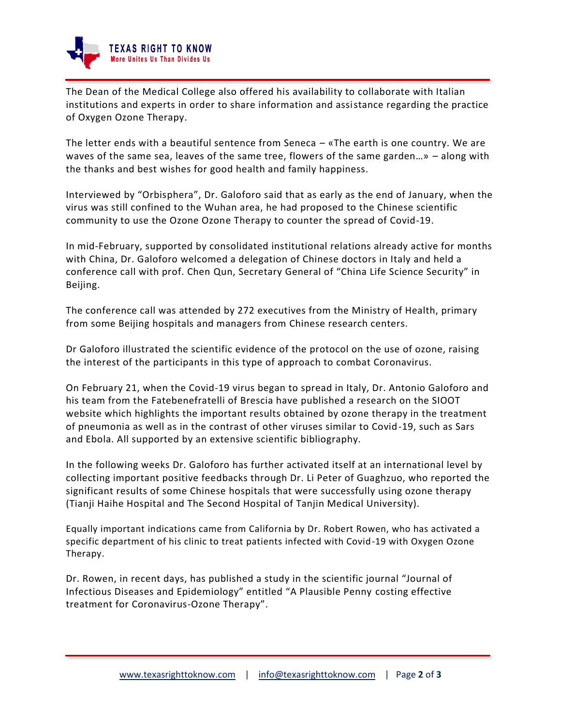

The Dean of the Medical College also offered his availability to collaborate with Italian institutions and experts in order to share information and assistance regarding the practice of Oxygen Ozone Therapy.

The letter ends with a beautiful sentence from Seneca  $-$  «The earth is one country. We are waves of the same sea, leaves of the same tree, flowers of the same garden…» – along with the thanks and best wishes for good health and family happiness.

Interviewed by "Orbisphera", Dr. Galoforo said that as early as the end of January, when the virus was still confined to the Wuhan area, he had proposed to the Chinese scientific community to use the Ozone Ozone Therapy to counter the spread of Covid-19.

In mid-February, supported by consolidated institutional relations already active for months with China, Dr. Galoforo welcomed a delegation of Chinese doctors in Italy and held a conference call with prof. Chen Qun, Secretary General of "China Life Science Security" in Beijing.

The conference call was attended by 272 executives from the Ministry of Health, primary from some Beijing hospitals and managers from Chinese research centers.

Dr Galoforo illustrated the scientific evidence of the protocol on the use of ozone, raising the interest of the participants in this type of approach to combat Coronavirus.

On February 21, when the Covid-19 virus began to spread in Italy, Dr. Antonio Galoforo and his team from the Fatebenefratelli of Brescia have published a research on the SIOOT website which highlights the important results obtained by ozone therapy in the treatment of pneumonia as well as in the contrast of other viruses similar to Covid-19, such as Sars and Ebola. All supported by an extensive scientific bibliography.

In the following weeks Dr. Galoforo has further activated itself at an international level by collecting important positive feedbacks through Dr. Li Peter of Guaghzuo, who reported the significant results of some Chinese hospitals that were successfully using ozone therapy (Tianji Haihe Hospital and The Second Hospital of Tanjin Medical University).

Equally important indications came from California by Dr. Robert Rowen, who has activated a specific department of his clinic to treat patients infected with Covid-19 with Oxygen Ozone Therapy.

Dr. Rowen, in recent days, has published a study in the scientific journal "Journal of Infectious Diseases and Epidemiology" entitled "A Plausible Penny costing effective treatment for Coronavirus-Ozone Therapy".